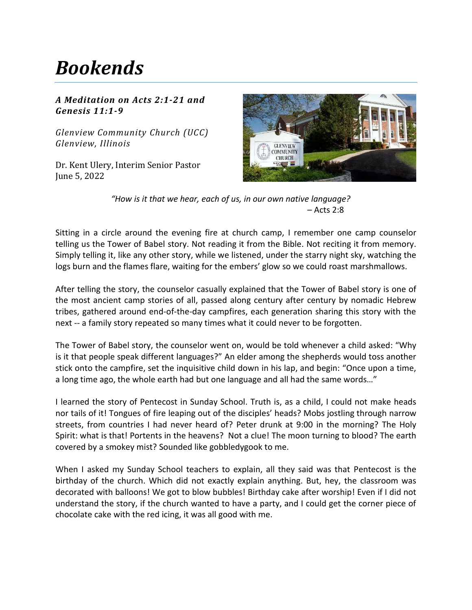## *Bookends*

## *A Meditation on Acts 2:1-21 and Genesis 11:1-9*

*Glenview Community Church (UCC) Glenview, Illinois*

Dr. Kent Ulery, Interim Senior Pastor June 5, 2022



"How is it that we hear, each of us, in our own native language? – Acts 2:8

Sitting in a circle around the evening fire at church camp, I remember one camp counselor telling us the Tower of Babel story. Not reading it from the Bible. Not reciting it from memory. Simply telling it, like any other story, while we listened, under the starry night sky, watching the logs burn and the flames flare, waiting for the embers' glow so we could roast marshmallows.

After telling the story, the counselor casually explained that the Tower of Babel story is one of the most ancient camp stories of all, passed along century after century by nomadic Hebrew tribes, gathered around end-of-the-day campfires, each generation sharing this story with the next -- a family story repeated so many times what it could never to be forgotten.

The Tower of Babel story, the counselor went on, would be told whenever a child asked: "Why is it that people speak different languages?" An elder among the shepherds would toss another stick onto the campfire, set the inquisitive child down in his lap, and begin: "Once upon a time, a long time ago, the whole earth had but one language and all had the same words…"

I learned the story of Pentecost in Sunday School. Truth is, as a child, I could not make heads nor tails of it! Tongues of fire leaping out of the disciples' heads? Mobs jostling through narrow streets, from countries I had never heard of? Peter drunk at 9:00 in the morning? The Holy Spirit: what is that! Portents in the heavens? Not a clue! The moon turning to blood? The earth covered by a smokey mist? Sounded like gobbledygook to me.

When I asked my Sunday School teachers to explain, all they said was that Pentecost is the birthday of the church. Which did not exactly explain anything. But, hey, the classroom was decorated with balloons! We got to blow bubbles! Birthday cake after worship! Even if I did not understand the story, if the church wanted to have a party, and I could get the corner piece of chocolate cake with the red icing, it was all good with me.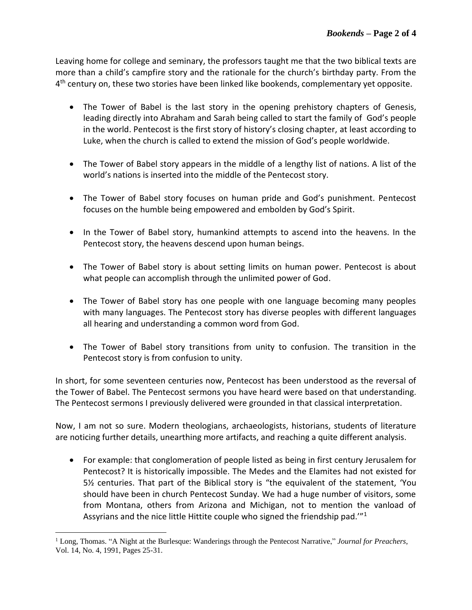Leaving home for college and seminary, the professors taught me that the two biblical texts are more than a child's campfire story and the rationale for the church's birthday party. From the 4<sup>th</sup> century on, these two stories have been linked like bookends, complementary yet opposite.

- The Tower of Babel is the last story in the opening prehistory chapters of Genesis, leading directly into Abraham and Sarah being called to start the family of God's people in the world. Pentecost is the first story of history's closing chapter, at least according to Luke, when the church is called to extend the mission of God's people worldwide.
- The Tower of Babel story appears in the middle of a lengthy list of nations. A list of the world's nations is inserted into the middle of the Pentecost story.
- The Tower of Babel story focuses on human pride and God's punishment. Pentecost focuses on the humble being empowered and embolden by God's Spirit.
- In the Tower of Babel story, humankind attempts to ascend into the heavens. In the Pentecost story, the heavens descend upon human beings.
- The Tower of Babel story is about setting limits on human power. Pentecost is about what people can accomplish through the unlimited power of God.
- The Tower of Babel story has one people with one language becoming many peoples with many languages. The Pentecost story has diverse peoples with different languages all hearing and understanding a common word from God.
- The Tower of Babel story transitions from unity to confusion. The transition in the Pentecost story is from confusion to unity.

In short, for some seventeen centuries now, Pentecost has been understood as the reversal of the Tower of Babel. The Pentecost sermons you have heard were based on that understanding. The Pentecost sermons I previously delivered were grounded in that classical interpretation.

Now, I am not so sure. Modern theologians, archaeologists, historians, students of literature are noticing further details, unearthing more artifacts, and reaching a quite different analysis.

• For example: that conglomeration of people listed as being in first century Jerusalem for Pentecost? It is historically impossible. The Medes and the Elamites had not existed for 5½ centuries. That part of the Biblical story is "the equivalent of the statement, 'You should have been in church Pentecost Sunday. We had a huge number of visitors, some from Montana, others from Arizona and Michigan, not to mention the vanload of Assyrians and the nice little Hittite couple who signed the friendship pad."<sup>1</sup>

<sup>1</sup> Long, Thomas. "A Night at the Burlesque: Wanderings through the Pentecost Narrative," *Journal for Preachers*, Vol. 14, No. 4, 1991, Pages 25-31.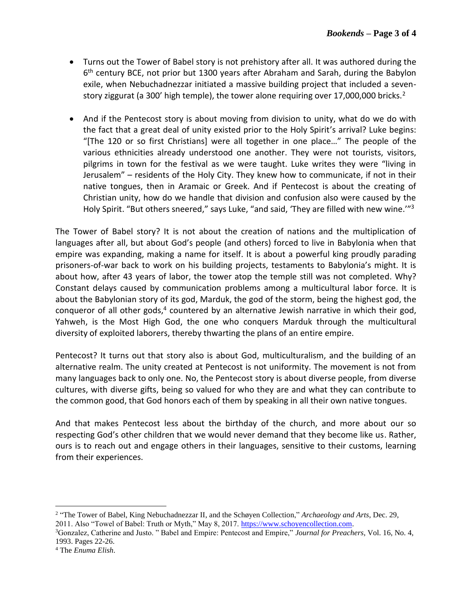- Turns out the Tower of Babel story is not prehistory after all. It was authored during the 6<sup>th</sup> century BCE, not prior but 1300 years after Abraham and Sarah, during the Babylon exile, when Nebuchadnezzar initiated a massive building project that included a sevenstory ziggurat (a 300' high temple), the tower alone requiring over 17,000,000 bricks.<sup>2</sup>
- And if the Pentecost story is about moving from division to unity, what do we do with the fact that a great deal of unity existed prior to the Holy Spirit's arrival? Luke begins: "[The 120 or so first Christians] were all together in one place…" The people of the various ethnicities already understood one another. They were not tourists, visitors, pilgrims in town for the festival as we were taught. Luke writes they were "living in Jerusalem" – residents of the Holy City. They knew how to communicate, if not in their native tongues, then in Aramaic or Greek. And if Pentecost is about the creating of Christian unity, how do we handle that division and confusion also were caused by the Holy Spirit. "But others sneered," says Luke, "and said, 'They are filled with new wine.'"<sup>3</sup>

The Tower of Babel story? It is not about the creation of nations and the multiplication of languages after all, but about God's people (and others) forced to live in Babylonia when that empire was expanding, making a name for itself. It is about a powerful king proudly parading prisoners-of-war back to work on his building projects, testaments to Babylonia's might. It is about how, after 43 years of labor, the tower atop the temple still was not completed. Why? Constant delays caused by communication problems among a multicultural labor force. It is about the Babylonian story of its god, Marduk, the god of the storm, being the highest god, the conqueror of all other gods,<sup>4</sup> countered by an alternative Jewish narrative in which their god, Yahweh, is the Most High God, the one who conquers Marduk through the multicultural diversity of exploited laborers, thereby thwarting the plans of an entire empire.

Pentecost? It turns out that story also is about God, multiculturalism, and the building of an alternative realm. The unity created at Pentecost is not uniformity. The movement is not from many languages back to only one. No, the Pentecost story is about diverse people, from diverse cultures, with diverse gifts, being so valued for who they are and what they can contribute to the common good, that God honors each of them by speaking in all their own native tongues.

And that makes Pentecost less about the birthday of the church, and more about our so respecting God's other children that we would never demand that they become like us. Rather, ours is to reach out and engage others in their languages, sensitive to their customs, learning from their experiences.

<sup>&</sup>lt;sup>2</sup> "The Tower of Babel, King Nebuchadnezzar II, and the Schøyen Collection," *Archaeology and Arts*, Dec. 29, 2011. Also "Towel of Babel: Truth or Myth," May 8, 2017. [https://www.schoyencollection.com.](https://www.schoyencollection.com/)

<sup>3</sup>Gonzalez, Catherine and Justo. " Babel and Empire: Pentecost and Empire," *Journal for Preachers*, Vol. 16, No. 4, 1993. Pages 22-26.

<sup>4</sup> The *Enuma Elish*.